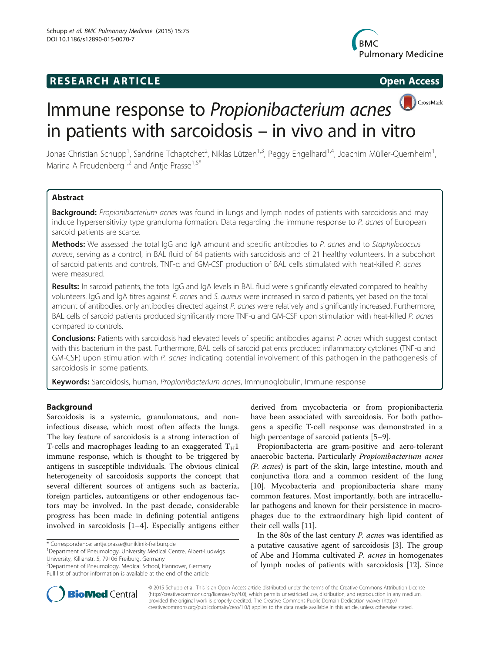# **RESEARCH ARTICLE Example 2014 12:30 The SEAR CHA RESEARCH ARTICLE**



# CrossMark Immune response to Propionibacterium acnes in patients with sarcoidosis – in vivo and in vitro

Jonas Christian Schupp<sup>1</sup>, Sandrine Tchaptchet<sup>2</sup>, Niklas Lützen<sup>1,3</sup>, Peggy Engelhard<sup>1,4</sup>, Joachim Müller-Quernheim<sup>1</sup> , Marina A Freudenberg<sup>1,2</sup> and Antje Prasse<sup>1,5\*</sup>

# Abstract

Background: Propionibacterium acnes was found in lungs and lymph nodes of patients with sarcoidosis and may induce hypersensitivity type granuloma formation. Data regarding the immune response to P. acnes of European sarcoid patients are scarce.

Methods: We assessed the total IgG and IgA amount and specific antibodies to P. acnes and to Staphylococcus aureus, serving as a control, in BAL fluid of 64 patients with sarcoidosis and of 21 healthy volunteers. In a subcohort of sarcoid patients and controls, TNF-α and GM-CSF production of BAL cells stimulated with heat-killed P. acnes were measured.

Results: In sarcoid patients, the total IgG and IgA levels in BAL fluid were significantly elevated compared to healthy volunteers. IgG and IgA titres against P. acnes and S. aureus were increased in sarcoid patients, yet based on the total amount of antibodies, only antibodies directed against P. acnes were relatively and significantly increased. Furthermore, BAL cells of sarcoid patients produced significantly more TNF-α and GM-CSF upon stimulation with heat-killed P. acnes compared to controls.

Conclusions: Patients with sarcoidosis had elevated levels of specific antibodies against P. acnes which suggest contact with this bacterium in the past. Furthermore, BAL cells of sarcoid patients produced inflammatory cytokines (TNF-α and GM-CSF) upon stimulation with P. acnes indicating potential involvement of this pathogen in the pathogenesis of sarcoidosis in some patients.

Keywords: Sarcoidosis, human, Propionibacterium acnes, Immunoglobulin, Immune response

# Background

Sarcoidosis is a systemic, granulomatous, and noninfectious disease, which most often affects the lungs. The key feature of sarcoidosis is a strong interaction of T-cells and macrophages leading to an exaggerated  $T_H1$ immune response, which is thought to be triggered by antigens in susceptible individuals. The obvious clinical heterogeneity of sarcoidosis supports the concept that several different sources of antigens such as bacteria, foreign particles, autoantigens or other endogenous factors may be involved. In the past decade, considerable progress has been made in defining potential antigens involved in sarcoidosis [\[1](#page-5-0)–[4](#page-5-0)]. Especially antigens either



Propionibacteria are gram-positive and aero-tolerant anaerobic bacteria. Particularly Propionibacterium acnes (P. acnes) is part of the skin, large intestine, mouth and conjunctiva flora and a common resident of the lung [[10\]](#page-5-0). Mycobacteria and propionibacteria share many common features. Most importantly, both are intracellular pathogens and known for their persistence in macrophages due to the extraordinary high lipid content of their cell walls [[11\]](#page-5-0).

In the 80s of the last century P. acnes was identified as a putative causative agent of sarcoidosis [\[3](#page-5-0)]. The group of Abe and Homma cultivated P. acnes in homogenates of lymph nodes of patients with sarcoidosis [\[12](#page-5-0)]. Since



© 2015 Schupp et al. This is an Open Access article distributed under the terms of the Creative Commons Attribution License [\(http://creativecommons.org/licenses/by/4.0\)](http://creativecommons.org/licenses/by/4.0), which permits unrestricted use, distribution, and reproduction in any medium, provided the original work is properly credited. The Creative Commons Public Domain Dedication waiver [\(http://](http://creativecommons.org/publicdomain/zero/1.0/) [creativecommons.org/publicdomain/zero/1.0/\)](http://creativecommons.org/publicdomain/zero/1.0/) applies to the data made available in this article, unless otherwise stated.

<sup>\*</sup> Correspondence: [antje.prasse@uniklinik-freiburg.de](mailto:antje.prasse@uniklinik-freiburg.de) <sup>1</sup>

Department of Pneumology, University Medical Centre, Albert-Ludwigs University, Killianstr. 5, 79106 Freiburg, Germany

<sup>5</sup> Department of Pneumology, Medical School, Hannover, Germany Full list of author information is available at the end of the article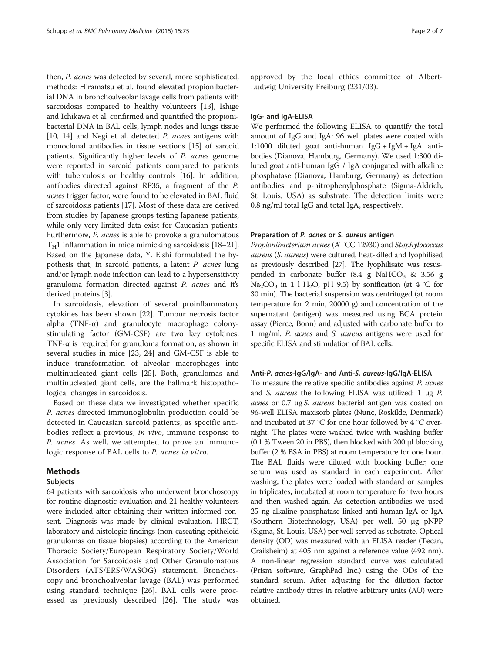then, P. acnes was detected by several, more sophisticated, methods: Hiramatsu et al. found elevated propionibacterial DNA in bronchoalveolar lavage cells from patients with sarcoidosis compared to healthy volunteers [\[13\]](#page-5-0), Ishige and Ichikawa et al. confirmed and quantified the propionibacterial DNA in BAL cells, lymph nodes and lungs tissue [[10](#page-5-0), [14](#page-5-0)] and Negi et al. detected *P. acnes* antigens with monoclonal antibodies in tissue sections [\[15](#page-5-0)] of sarcoid patients. Significantly higher levels of P. acnes genome were reported in sarcoid patients compared to patients with tuberculosis or healthy controls [[16](#page-5-0)]. In addition, antibodies directed against RP35, a fragment of the P. acnes trigger factor, were found to be elevated in BAL fluid of sarcoidosis patients [[17\]](#page-5-0). Most of these data are derived from studies by Japanese groups testing Japanese patients, while only very limited data exist for Caucasian patients. Furthermore, P. acnes is able to provoke a granulomatous  $T_H1$  inflammation in mice mimicking sarcoidosis [\[18](#page-5-0)–[21](#page-5-0)]. Based on the Japanese data, Y. Eishi formulated the hypothesis that, in sarcoid patients, a latent P. acnes lung and/or lymph node infection can lead to a hypersensitivity granuloma formation directed against P. acnes and it's derived proteins [[3\]](#page-5-0).

In sarcoidosis, elevation of several proinflammatory cytokines has been shown [[22\]](#page-5-0). Tumour necrosis factor alpha  $(TNF-\alpha)$  and granulocyte macrophage colonystimulating factor (GM-CSF) are two key cytokines: TNF- $\alpha$  is required for granuloma formation, as shown in several studies in mice [\[23, 24\]](#page-5-0) and GM-CSF is able to induce transformation of alveolar macrophages into multinucleated giant cells [[25\]](#page-5-0). Both, granulomas and multinucleated giant cells, are the hallmark histopathological changes in sarcoidosis.

Based on these data we investigated whether specific P. acnes directed immunoglobulin production could be detected in Caucasian sarcoid patients, as specific antibodies reflect a previous, in vivo, immune response to P. acnes. As well, we attempted to prove an immunologic response of BAL cells to P. acnes in vitro.

## Methods

## Subjects

64 patients with sarcoidosis who underwent bronchoscopy for routine diagnostic evaluation and 21 healthy volunteers were included after obtaining their written informed consent. Diagnosis was made by clinical evaluation, HRCT, laboratory and histologic findings (non-caseating epitheloid granulomas on tissue biopsies) according to the American Thoracic Society/European Respiratory Society/World Association for Sarcoidosis and Other Granulomatous Disorders (ATS/ERS/WASOG) statement. Bronchoscopy and bronchoalveolar lavage (BAL) was performed using standard technique [\[26](#page-5-0)]. BAL cells were processed as previously described [\[26](#page-5-0)]. The study was approved by the local ethics committee of Albert-Ludwig University Freiburg (231/03).

#### IgG- and IgA-ELISA

We performed the following ELISA to quantify the total amount of IgG and IgA: 96 well plates were coated with 1:1000 diluted goat anti-human IgG + IgM + IgA antibodies (Dianova, Hamburg, Germany). We used 1:300 diluted goat anti-human IgG / IgA conjugated with alkaline phosphatase (Dianova, Hamburg, Germany) as detection antibodies and p-nitrophenylphosphate (Sigma-Aldrich, St. Louis, USA) as substrate. The detection limits were 0.8 ng/ml total IgG and total IgA, respectively.

## Preparation of P. acnes or S. aureus antigen

Propionibacterium acnes (ATCC 12930) and Staphylococcus aureus (S. aureus) were cultured, heat-killed and lyophilised as previously described [\[27](#page-5-0)]. The lyophilisate was resuspended in carbonate buffer (8.4 g NaHCO<sub>3</sub> & 3.56 g Na<sub>2</sub>CO<sub>3</sub> in 1 l H<sub>2</sub>O, pH 9.5) by sonification (at 4 °C for 30 min). The bacterial suspension was centrifuged (at room temperature for 2 min, 20000 g) and concentration of the supernatant (antigen) was measured using BCA protein assay (Pierce, Bonn) and adjusted with carbonate buffer to 1 mg/ml. P. acnes and S. aureus antigens were used for specific ELISA and stimulation of BAL cells.

### Anti-P. acnes-IgG/IgA- and Anti-S. aureus-IgG/IgA-ELISA

To measure the relative specific antibodies against P. acnes and S. aureus the following ELISA was utilized: 1 μg P. acnes or 0.7 μg S. aureus bacterial antigen was coated on 96-well ELISA maxisorb plates (Nunc, Roskilde, Denmark) and incubated at 37 °C for one hour followed by 4 °C overnight. The plates were washed twice with washing buffer (0.1 % Tween 20 in PBS), then blocked with 200 μl blocking buffer (2 % BSA in PBS) at room temperature for one hour. The BAL fluids were diluted with blocking buffer; one serum was used as standard in each experiment. After washing, the plates were loaded with standard or samples in triplicates, incubated at room temperature for two hours and then washed again. As detection antibodies we used 25 ng alkaline phosphatase linked anti-human IgA or IgA (Southern Biotechnology, USA) per well. 50 μg pNPP (Sigma, St. Louis, USA) per well served as substrate. Optical density (OD) was measured with an ELISA reader (Tecan, Crailsheim) at 405 nm against a reference value (492 nm). A non-linear regression standard curve was calculated (Prism software, GraphPad Inc.) using the ODs of the standard serum. After adjusting for the dilution factor relative antibody titres in relative arbitrary units (AU) were obtained.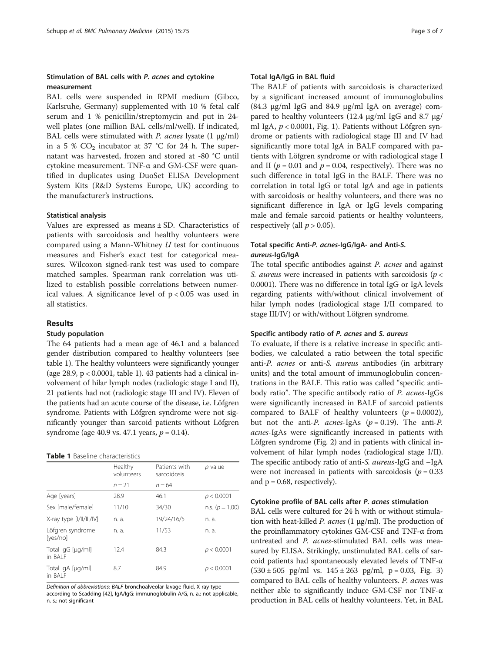# Stimulation of BAL cells with P. acnes and cytokine measurement

BAL cells were suspended in RPMI medium (Gibco, Karlsruhe, Germany) supplemented with 10 % fetal calf serum and 1 % penicillin/streptomycin and put in 24 well plates (one million BAL cells/ml/well). If indicated, BAL cells were stimulated with P. acnes lysate  $(1 \mu g/ml)$ in a 5 %  $CO_2$  incubator at 37 °C for 24 h. The supernatant was harvested, frozen and stored at -80 °C until cytokine measurement. TNF-α and GM-CSF were quantified in duplicates using DuoSet ELISA Development System Kits (R&D Systems Europe, UK) according to the manufacturer's instructions.

#### Statistical analysis

Values are expressed as means ± SD. Characteristics of patients with sarcoidosis and healthy volunteers were compared using a Mann-Whitney U test for continuous measures and Fisher's exact test for categorical measures. Wilcoxon signed-rank test was used to compare matched samples. Spearman rank correlation was utilized to establish possible correlations between numerical values. A significance level of  $p < 0.05$  was used in all statistics.

#### Results

# Study population

The 64 patients had a mean age of 46.1 and a balanced gender distribution compared to healthy volunteers (see table 1). The healthy volunteers were significantly younger (age 28.9, p < 0.0001, table 1). 43 patients had a clinical involvement of hilar lymph nodes (radiologic stage I and II), 21 patients had not (radiologic stage III and IV). Eleven of the patients had an acute course of the disease, i.e. Löfgren syndrome. Patients with Löfgren syndrome were not significantly younger than sarcoid patients without Löfgren syndrome (age 40.9 vs. 47.1 years,  $p = 0.14$ ).

### Table 1 Baseline characteristics

|                              | Healthy<br>volunteers | Patients with<br>sarcoidosis | $p$ value           |
|------------------------------|-----------------------|------------------------------|---------------------|
|                              | $n = 21$              | $n = 64$                     |                     |
| Age [years]                  | 28.9                  | 46.1                         | p < 0.0001          |
| Sex [male/female]            | 11/10                 | 34/30                        | n.s. ( $p = 1.00$ ) |
| X-ray type [I/II/III/IV]     | n. a.                 | 19/24/16/5                   | n. a.               |
| Löfgren syndrome<br>[yes/no] | n. a.                 | 11/53                        | n. a.               |
| Total IgG [µg/ml]<br>in BAIF | 12.4                  | 84.3                         | p < 0.0001          |
| Total IgA [µg/ml]<br>in BALF | 8.7                   | 84.9                         | p < 0.0001          |

Definition of abbreviations: BALF bronchoalveolar lavage fluid, X-ray type according to Scadding [\[42](#page-6-0)], IgA/IgG: immunoglobulin A/G, n. a.: not applicable, n. s.: not significant

### Total IgA/IgG in BAL fluid

The BALF of patients with sarcoidosis is characterized by a significant increased amount of immunoglobulins (84.3 μg/ml IgG and 84.9 μg/ml IgA on average) compared to healthy volunteers  $(12.4 \text{ µg/ml IgG and } 8.7 \text{ µg/}$ ml IgA,  $p < 0.0001$ , Fig. [1\)](#page-3-0). Patients without Löfgren syndrome or patients with radiological stage III and IV had significantly more total IgA in BALF compared with patients with Löfgren syndrome or with radiological stage I and II ( $p = 0.01$  and  $p = 0.04$ , respectively). There was no such difference in total IgG in the BALF. There was no correlation in total IgG or total IgA and age in patients with sarcoidosis or healthy volunteers, and there was no significant difference in IgA or IgG levels comparing male and female sarcoid patients or healthy volunteers, respectively (all  $p > 0.05$ ).

# Total specific Anti-P. acnes-IgG/IgA- and Anti-S. aureus-IgG/IgA

The total specific antibodies against *P. acnes* and against S. *aureus* were increased in patients with sarcoidosis ( $p <$ 0.0001). There was no difference in total IgG or IgA levels regarding patients with/without clinical involvement of hilar lymph nodes (radiological stage I/II compared to stage III/IV) or with/without Löfgren syndrome.

## Specific antibody ratio of P. acnes and S. aureus

To evaluate, if there is a relative increase in specific antibodies, we calculated a ratio between the total specific anti-P. acnes or anti-S. aureus antibodies (in arbitrary units) and the total amount of immunoglobulin concentrations in the BALF. This ratio was called "specific antibody ratio". The specific antibody ratio of P. acnes-IgGs were significantly increased in BALF of sarcoid patients compared to BALF of healthy volunteers  $(p = 0.0002)$ , but not the anti-*P. acnes*-IgAs  $(p = 0.19)$ . The anti-*P*. acnes-IgAs were significantly increased in patients with Löfgren syndrome (Fig. [2](#page-3-0)) and in patients with clinical involvement of hilar lymph nodes (radiological stage I/II). The specific antibody ratio of anti-S. aureus-IgG and –IgA were not increased in patients with sarcoidosis ( $p = 0.33$ ) and  $p = 0.68$ , respectively).

#### Cytokine profile of BAL cells after P. acnes stimulation

BAL cells were cultured for 24 h with or without stimulation with heat-killed *P. acnes*  $(1 \mu g/ml)$ . The production of the proinflammatory cytokines GM-CSF and TNF-α from untreated and P. acnes-stimulated BAL cells was measured by ELISA. Strikingly, unstimulated BAL cells of sarcoid patients had spontaneously elevated levels of TNF-α  $(530 \pm 505 \text{ pg/ml vs. } 145 \pm 263 \text{ pg/ml}, \text{ p} = 0.03, \text{ Fig. 3})$  $(530 \pm 505 \text{ pg/ml vs. } 145 \pm 263 \text{ pg/ml}, \text{ p} = 0.03, \text{ Fig. 3})$  $(530 \pm 505 \text{ pg/ml vs. } 145 \pm 263 \text{ pg/ml}, \text{ p} = 0.03, \text{ Fig. 3})$ compared to BAL cells of healthy volunteers. P. acnes was neither able to significantly induce GM-CSF nor TNF-α production in BAL cells of healthy volunteers. Yet, in BAL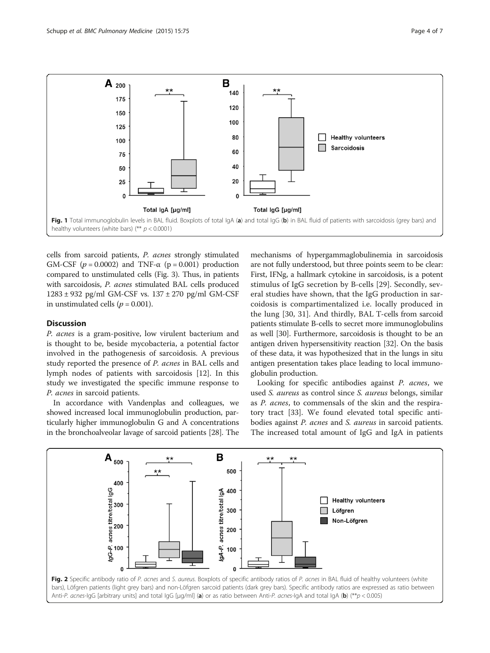<span id="page-3-0"></span>

cells from sarcoid patients, P. acnes strongly stimulated GM-CSF  $(p = 0.0002)$  and TNF- $\alpha$   $(p = 0.001)$  production compared to unstimulated cells (Fig. [3](#page-4-0)). Thus, in patients with sarcoidosis, P. acnes stimulated BAL cells produced 1283 ± 932 pg/ml GM-CSF vs. 137 ± 270 pg/ml GM-CSF in unstimulated cells ( $p = 0.001$ ).

# Discussion

P. acnes is a gram-positive, low virulent bacterium and is thought to be, beside mycobacteria, a potential factor involved in the pathogenesis of sarcoidosis. A previous study reported the presence of P. acnes in BAL cells and lymph nodes of patients with sarcoidosis [[12\]](#page-5-0). In this study we investigated the specific immune response to P. acnes in sarcoid patients.

In accordance with Vandenplas and colleagues, we showed increased local immunoglobulin production, particularly higher immunoglobulin G and A concentrations in the bronchoalveolar lavage of sarcoid patients [[28\]](#page-5-0). The

mechanisms of hypergammaglobulinemia in sarcoidosis are not fully understood, but three points seem to be clear: First, IFNg, a hallmark cytokine in sarcoidosis, is a potent stimulus of IgG secretion by B-cells [[29\]](#page-5-0). Secondly, several studies have shown, that the IgG production in sarcoidosis is compartimentalized i.e. locally produced in the lung [[30,](#page-5-0) [31](#page-6-0)]. And thirdly, BAL T-cells from sarcoid patients stimulate B-cells to secret more immunoglobulins as well [[30](#page-5-0)]. Furthermore, sarcoidosis is thought to be an antigen driven hypersensitivity reaction [\[32\]](#page-6-0). On the basis of these data, it was hypothesized that in the lungs in situ antigen presentation takes place leading to local immunoglobulin production.

Looking for specific antibodies against P. acnes, we used S. aureus as control since S. aureus belongs, similar as P. acnes, to commensals of the skin and the respiratory tract [\[33](#page-6-0)]. We found elevated total specific antibodies against P. acnes and S. aureus in sarcoid patients. The increased total amount of IgG and IgA in patients

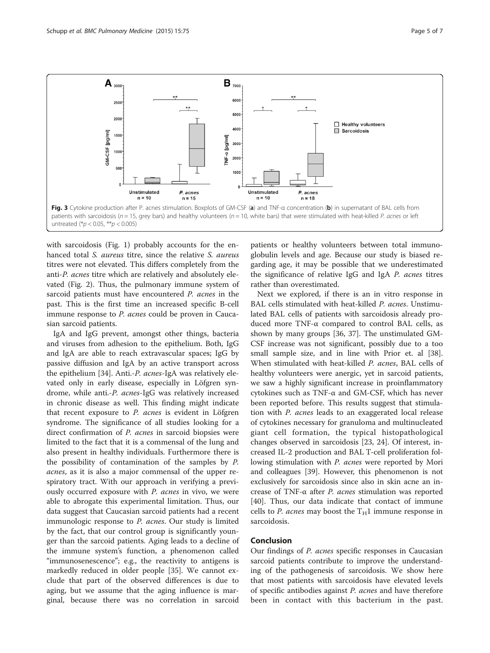<span id="page-4-0"></span>

with sarcoidosis (Fig. [1](#page-3-0)) probably accounts for the enhanced total S. aureus titre, since the relative S. aureus titres were not elevated. This differs completely from the anti-P. acnes titre which are relatively and absolutely elevated (Fig. [2\)](#page-3-0). Thus, the pulmonary immune system of sarcoid patients must have encountered *P. acnes* in the past. This is the first time an increased specific B-cell immune response to *P. acnes* could be proven in Caucasian sarcoid patients.

IgA and IgG prevent, amongst other things, bacteria and viruses from adhesion to the epithelium. Both, IgG and IgA are able to reach extravascular spaces; IgG by passive diffusion and IgA by an active transport across the epithelium [\[34\]](#page-6-0). Anti.-P. acnes-IgA was relatively elevated only in early disease, especially in Löfgren syndrome, while anti.-P. acnes-IgG was relatively increased in chronic disease as well. This finding might indicate that recent exposure to P. acnes is evident in Löfgren syndrome. The significance of all studies looking for a direct confirmation of *P. acnes* in sarcoid biopsies were limited to the fact that it is a commensal of the lung and also present in healthy individuals. Furthermore there is the possibility of contamination of the samples by P. acnes, as it is also a major commensal of the upper respiratory tract. With our approach in verifying a previously occurred exposure with *P. acnes* in vivo, we were able to abrogate this experimental limitation. Thus, our data suggest that Caucasian sarcoid patients had a recent immunologic response to *P. acnes*. Our study is limited by the fact, that our control group is significantly younger than the sarcoid patients. Aging leads to a decline of the immune system's function, a phenomenon called "immunosenescence"; e.g., the reactivity to antigens is markedly reduced in older people [\[35](#page-6-0)]. We cannot exclude that part of the observed differences is due to aging, but we assume that the aging influence is marginal, because there was no correlation in sarcoid

patients or healthy volunteers between total immunoglobulin levels and age. Because our study is biased regarding age, it may be possible that we underestimated the significance of relative IgG and IgA P. acnes titres rather than overestimated.

Next we explored, if there is an in vitro response in BAL cells stimulated with heat-killed P. acnes. Unstimulated BAL cells of patients with sarcoidosis already produced more TNF-α compared to control BAL cells, as shown by many groups [\[36, 37](#page-6-0)]. The unstimulated GM-CSF increase was not significant, possibly due to a too small sample size, and in line with Prior et. al [\[38](#page-6-0)]. When stimulated with heat-killed P. acnes, BAL cells of healthy volunteers were anergic, yet in sarcoid patients, we saw a highly significant increase in proinflammatory cytokines such as TNF-α and GM-CSF, which has never been reported before. This results suggest that stimulation with P. acnes leads to an exaggerated local release of cytokines necessary for granuloma and multinucleated giant cell formation, the typical histopathological changes observed in sarcoidosis [[23](#page-5-0), [24\]](#page-5-0). Of interest, increased IL-2 production and BAL T-cell proliferation following stimulation with P. acnes were reported by Mori and colleagues [[39](#page-6-0)]. However, this phenomenon is not exclusively for sarcoidosis since also in skin acne an increase of TNF-α after P. acnes stimulation was reported [[40\]](#page-6-0). Thus, our data indicate that contact of immune cells to *P. acnes* may boost the  $T_H1$  immune response in sarcoidosis.

# Conclusion

Our findings of P. acnes specific responses in Caucasian sarcoid patients contribute to improve the understanding of the pathogenesis of sarcoidosis. We show here that most patients with sarcoidosis have elevated levels of specific antibodies against P. acnes and have therefore been in contact with this bacterium in the past.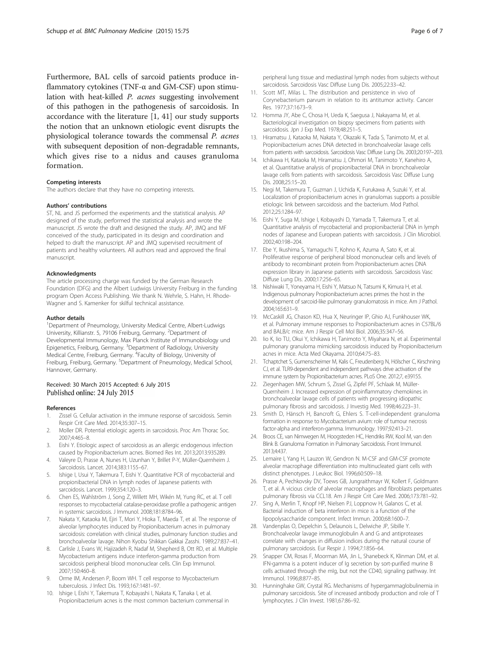<span id="page-5-0"></span>Furthermore, BAL cells of sarcoid patients produce inflammatory cytokines (TNF-α and GM-CSF) upon stimulation with heat-killed P. acnes suggesting involvement of this pathogen in the pathogenesis of sarcoidosis. In accordance with the literature [1, [41](#page-6-0)] our study supports the notion that an unknown etiologic event disrupts the physiological tolerance towards the commensal P. acnes with subsequent deposition of non-degradable remnants, which gives rise to a nidus and causes granuloma formation.

#### Competing interests

The authors declare that they have no competing interests.

#### Authors' contributions

ST, NL and JS performed the experiments and the statistical analysis. AP designed of the study, performed the statistical analysis and wrote the manuscript. JS wrote the draft and designed the study. AP, JMQ and MF conceived of the study, participated in its design and coordination and helped to draft the manuscript. AP and JMQ supervised recruitment of patients and healthy volunteers. All authors read and approved the final manuscript.

#### Acknowledgments

The article processing charge was funded by the German Research Foundation (DFG) and the Albert Ludwigs University Freiburg in the funding program Open Access Publishing. We thank N. Wehrle, S. Hahn, H. Rhode-Wagner and S. Kamenker for skilful technical assistance.

#### Author details

<sup>1</sup>Department of Pneumology, University Medical Centre, Albert-Ludwigs University, Killianstr. 5, 79106 Freiburg, Germany. <sup>2</sup>Department of Developmental Immunology, Max Planck Institute of Immunobiology und Epigenetics, Freiburg, Germany. <sup>3</sup>Department of Radiology, University Medical Centre, Freiburg, Germany. <sup>4</sup>Faculty of Biology, University of Freiburg, Freiburg, Germany. <sup>5</sup>Department of Pneumology, Medical School, Hannover, Germany.

#### Received: 30 March 2015 Accepted: 6 July 2015 Published online: 24 July 2015

#### References

- Zissel G. Cellular activation in the immune response of sarcoidosis. Semin Respir Crit Care Med. 2014;35:307–15.
- 2. Moller DR. Potential etiologic agents in sarcoidosis. Proc Am Thorac Soc. 2007;4:465–8.
- 3. Eishi Y. Etiologic aspect of sarcoidosis as an allergic endogenous infection caused by Propionibacterium acnes. Biomed Res Int. 2013;2013:935289.
- 4. Valeyre D, Prasse A, Nunes H, Uzunhan Y, Brillet P-Y, Müller-Quernheim J. Sarcoidosis. Lancet. 2014;383:1155–67.
- 5. Ishige I, Usui Y, Takemura T, Eishi Y. Quantitative PCR of mycobacterial and propionibacterial DNA in lymph nodes of Japanese patients with sarcoidosis. Lancet. 1999;354:120–3.
- 6. Chen ES, Wahlström J, Song Z, Willett MH, Wikén M, Yung RC, et al. T cell responses to mycobacterial catalase-peroxidase profile a pathogenic antigen in systemic sarcoidosis. J Immunol. 2008;181:8784–96.
- 7. Nakata Y, Kataoka M, Ejiri T, Mori Y, Hioka T, Maeda T, et al. The response of alveolar lymphocytes induced by Propionibacterium acnes in pulmonary sarcoidosis: correlation with clinical studies, pulmonary function studies and bronchoalveolar lavage. Nihon Kyobu Shikkan Gakkai Zasshi. 1989;27:837–41.
- 8. Carlisle J, Evans W, Hajizadeh R, Nadaf M, Shepherd B, Ott RD, et al. Multiple Mycobacterium antigens induce interferon-gamma production from sarcoidosis peripheral blood mononuclear cells. Clin Exp Immunol. 2007;150:460–8.
- Orme IM, Andersen P, Boom WH. T cell response to Mycobacterium tuberculosis. J Infect Dis. 1993;167:1481–97.
- 10. Ishige I, Eishi Y, Takemura T, Kobayashi I, Nakata K, Tanaka I, et al. Propionibacterium acnes is the most common bacterium commensal in

peripheral lung tissue and mediastinal lymph nodes from subjects without sarcoidosis. Sarcoidosis Vasc Diffuse Lung Dis. 2005;22:33–42.

- 11. Scott MT, Milas L. The distribution and persistence in vivo of Corynebacterium parvum in relation to its antitumor activity. Cancer Res. 1977;37:1673–9.
- 12. Homma JY, Abe C, Chosa H, Ueda K, Saegusa J, Nakayama M, et al. Bacteriological investigation on biopsy specimens from patients with sarcoidosis. Jpn J Exp Med. 1978;48:251-5.
- 13. Hiramatsu J, Kataoka M, Nakata Y, Okazaki K, Tada S, Tanimoto M, et al. Propionibacterium acnes DNA detected in bronchoalveolar lavage cells from patients with sarcoidosis. Sarcoidosis Vasc Diffuse Lung Dis. 2003;20:197–203.
- 14. Ichikawa H, Kataoka M, Hiramatsu J, Ohmori M, Tanimoto Y, Kanehiro A, et al. Quantitative analysis of propionibacterial DNA in bronchoalveolar lavage cells from patients with sarcoidosis. Sarcoidosis Vasc Diffuse Lung Dis. 2008;25:15–20.
- 15. Negi M, Takemura T, Guzman J, Uchida K, Furukawa A, Suzuki Y, et al. Localization of propionibacterium acnes in granulomas supports a possible etiologic link between sarcoidosis and the bacterium. Mod Pathol. 2012;25:1284–97.
- 16. Eishi Y, Suga M, Ishige I, Kobayashi D, Yamada T, Takemura T, et al. Quantitative analysis of mycobacterial and propionibacterial DNA in lymph nodes of Japanese and European patients with sarcoidosis. J Clin Microbiol. 2002;40:198–204.
- 17. Ebe Y, Ikushima S, Yamaguchi T, Kohno K, Azuma A, Sato K, et al. Proliferative response of peripheral blood mononuclear cells and levels of antibody to recombinant protein from Propionibacterium acnes DNA expression library in Japanese patients with sarcoidosis. Sarcoidosis Vasc Diffuse Lung Dis. 2000;17:256–65.
- 18. Nishiwaki T, Yoneyama H, Eishi Y, Matsuo N, Tatsumi K, Kimura H, et al. Indigenous pulmonary Propionibacterium acnes primes the host in the development of sarcoid-like pulmonary granulomatosis in mice. Am J Pathol. 2004;165:631–9.
- 19. McCaskill JG, Chason KD, Hua X, Neuringer IP, Ghio AJ, Funkhouser WK, et al. Pulmonary immune responses to Propionibacterium acnes in C57BL/6 and BALB/c mice. Am J Respir Cell Mol Biol. 2006;35:347–56.
- 20. Iio K, Iio TU, Okui Y, Ichikawa H, Tanimoto Y, Miyahara N, et al. Experimental pulmonary granuloma mimicking sarcoidosis induced by Propionibacterium acnes in mice. Acta Med Okayama. 2010;64:75–83.
- 21. Tchaptchet S, Gumenscheimer M, Kalis C, Freudenberg N, Hölscher C, Kirschning CJ, et al. TLR9-dependent and independent pathways drive activation of the immune system by Propionibacterium acnes. PLoS One. 2012;7, e39155.
- 22. Ziegenhagen MW, Schrum S, Zissel G, Zipfel PF, Schlaak M, Müller-Quernheim J. Increased expression of proinflammatory chemokines in bronchoalveolar lavage cells of patients with progressing idiopathic pulmonary fibrosis and sarcoidosis. J Investig Med. 1998;46:223–31.
- 23. Smith D, Hänsch H, Bancroft G, Ehlers S. T-cell-independent granuloma formation in response to Mycobacterium avium: role of tumour necrosis factor-alpha and interferon-gamma. Immunology. 1997;92:413–21.
- 24. Broos CE, van Nimwegen M, Hoogsteden HC, Hendriks RW, Kool M, van den Blink B. Granuloma Formation in Pulmonary Sarcoidosis. Front Immunol. 2013;4:437.
- 25. Lemaire I, Yang H, Lauzon W, Gendron N. M-CSF and GM-CSF promote alveolar macrophage differentiation into multinucleated giant cells with distinct phenotypes. J Leukoc Biol. 1996;60:509–18.
- 26. Prasse A, Pechkovsky DV, Toews GB, Jungraithmayr W, Kollert F, Goldmann T, et al. A vicious circle of alveolar macrophages and fibroblasts perpetuates pulmonary fibrosis via CCL18. Am J Respir Crit Care Med. 2006;173:781–92.
- 27. Sing A, Merlin T, Knopf HP, Nielsen PJ, Loppnow H, Galanos C, et al. Bacterial induction of beta interferon in mice is a function of the lipopolysaccharide component. Infect Immun. 2000;68:1600–7.
- 28. Vandenplas O, Depelchin S, Delaunois L, Delwiche JP, Sibille Y. Bronchoalveolar lavage immunoglobulin A and G and antiproteases correlate with changes in diffusion indices during the natural course of pulmonary sarcoidosis. Eur Respir J. 1994;7:1856–64.
- 29. Snapper CM, Rosas F, Moorman MA, Jin L, Shanebeck K, Klinman DM, et al. IFN-gamma is a potent inducer of Ig secretion by sort-purified murine B cells activated through the mIg, but not the CD40, signaling pathway. Int Immunol. 1996;8:877–85.
- 30. Hunninghake GW, Crystal RG. Mechanisms of hypergammaglobulinemia in pulmonary sarcoidosis. Site of increased antibody production and role of T lymphocytes. J Clin Invest. 1981;67:86–92.